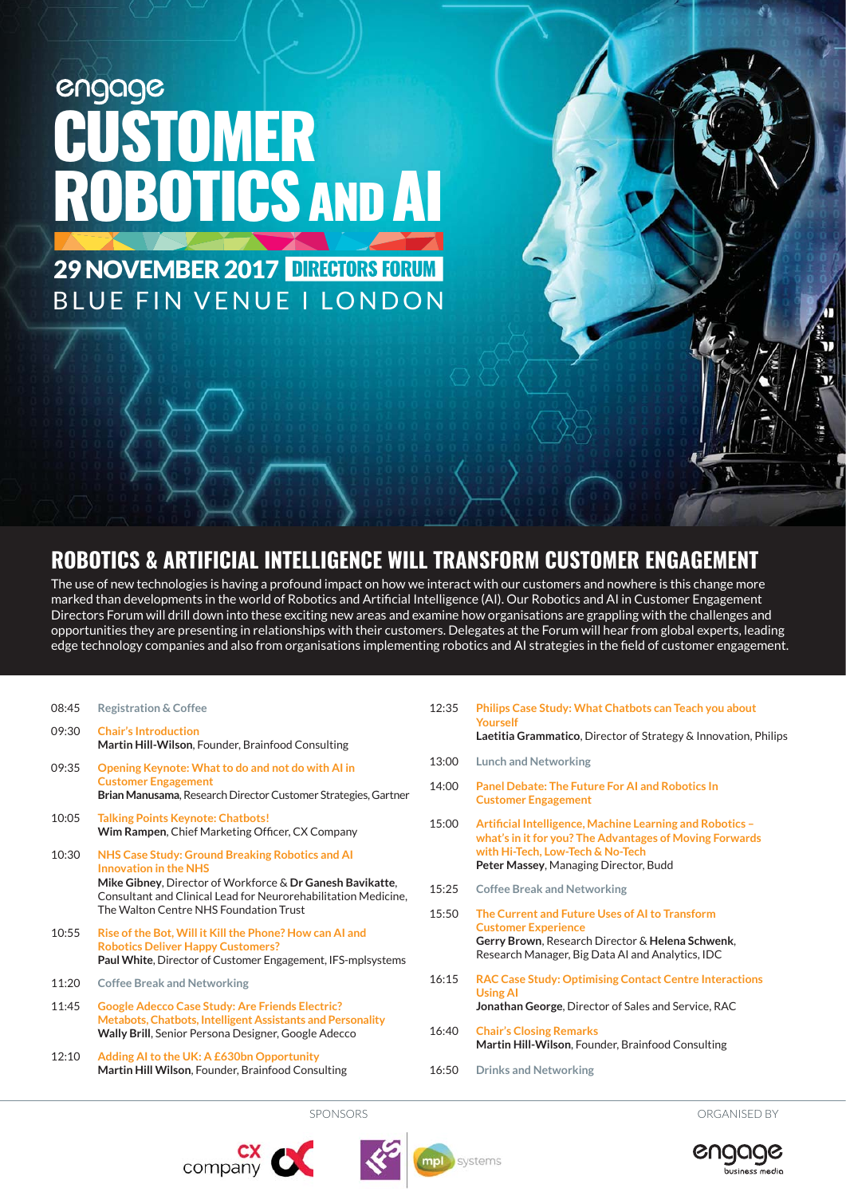# engage<br>CUSTOMER ROBOTICS AND AI

29 NOVEMBER 2017 DIRECTORS FORUM BLUE FIN VENUE I LONDON

# **ROBOTICS & ARTIFICIAL INTELLIGENCE WILL TRANSFORM CUSTOMER ENGAGEMENT**

The use of new technologies is having a profound impact on how we interact with our customers and nowhere is this change more marked than developments in the world of Robotics and Artificial Intelligence (AI). Our Robotics and AI in Customer Engagement Directors Forum will drill down into these exciting new areas and examine how organisations are grappling with the challenges and opportunities they are presenting in relationships with their customers. Delegates at the Forum will hear from global experts, leading edge technology companies and also from organisations implementing robotics and AI strategies in the field of customer engagement.

| 08:45 | <b>Registration &amp; Coffee</b> |  |
|-------|----------------------------------|--|
|       |                                  |  |

| 09:30 | <b>Chair's Introduction</b><br>Martin Hill-Wilson, Founder, Brainfood Consulting                                                                                                                                                                         |
|-------|----------------------------------------------------------------------------------------------------------------------------------------------------------------------------------------------------------------------------------------------------------|
| 09:35 | Opening Keynote: What to do and not do with AI in<br><b>Customer Engagement</b><br>Brian Manusama, Research Director Customer Strategies, Gartner                                                                                                        |
| 10:05 | <b>Talking Points Keynote: Chatbots!</b><br>Wim Rampen, Chief Marketing Officer, CX Company                                                                                                                                                              |
| 10:30 | NHS Case Study: Ground Breaking Robotics and AI<br><b>Innovation in the NHS</b><br>Mike Gibney, Director of Workforce & Dr Ganesh Bavikatte,<br>Consultant and Clinical Lead for Neurorehabilitation Medicine,<br>The Walton Centre NHS Foundation Trust |
| 10:55 | Rise of the Bot, Will it Kill the Phone? How can AI and<br><b>Robotics Deliver Happy Customers?</b><br>Paul White, Director of Customer Engagement, IFS-mplsystems                                                                                       |
| 11:20 | <b>Coffee Break and Networking</b>                                                                                                                                                                                                                       |
| 11:45 | <b>Google Adecco Case Study: Are Friends Electric?</b><br><b>Metabots, Chatbots, Intelligent Assistants and Personality</b><br><b>Wally Brill, Senior Persona Designer, Google Adecco</b>                                                                |

12:10 **Adding AI to the UK: A £630bn Opportunity Martin Hill Wilson**, Founder, Brainfood Consulting

- 12:35 **Philips Case Study: What Chatbots can Teach you about Yourself Laetitia Grammatico**, Director of Strategy & Innovation, Philips
- 13:00 **Lunch and Networking**
- 14:00 **Panel Debate: The Future For AI and Robotics In Customer Engagement**
- 15:00 **Artificial Intelligence, Machine Learning and Robotics what's in it for you? The Advantages of Moving Forwards with Hi-Tech, Low-Tech & No-Tech Peter Massey**, Managing Director, Budd
- 15:25 **Coffee Break and Networking**
- 15:50 **The Current and Future Uses of AI to Transform Customer Experience Gerry Brown**, Research Director & **Helena Schwenk**, Research Manager, Big Data AI and Analytics, IDC
- 16:15 **RAC Case Study: Optimising Contact Centre Interactions Using AI Jonathan George**, Director of Sales and Service, RAC
- 16:40 **Chair's Closing Remarks Martin Hill-Wilson**, Founder, Brainfood Consulting
- 16:50 **Drinks and Networking**

SPONSORS ORGANISED BY







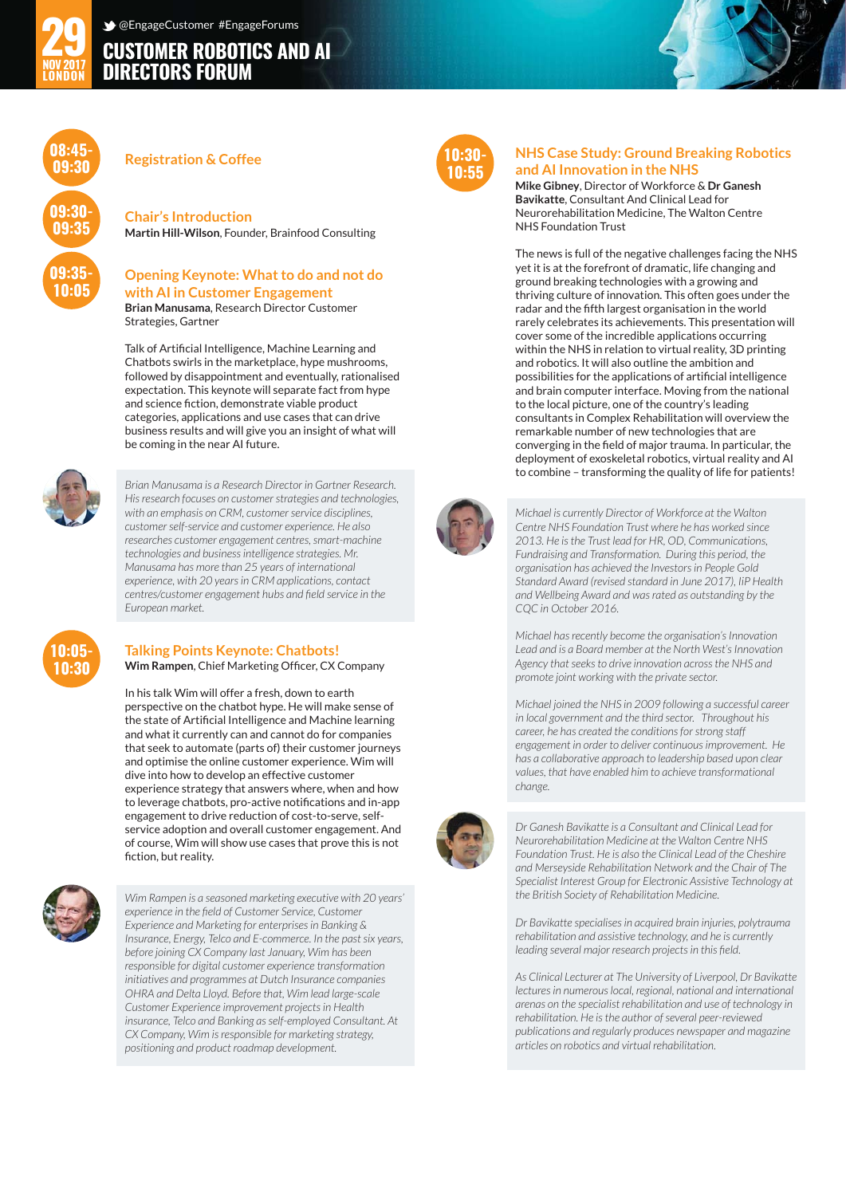## **CUSTOMER ROBOTICS AND AI DIRECTORS FORUM** @EngageCustomer #EngageForums



#### **Registration & Coffee**

Strategies, Gartner

**Chair's Introduction Martin Hill-Wilson**, Founder, Brainfood Consulting

#### **Opening Keynote: What to do and not do with AI in Customer Engagement Brian Manusama**, Research Director Customer

Talk of Artificial Intelligence, Machine Learning and Chatbots swirls in the marketplace, hype mushrooms, followed by disappointment and eventually, rationalised expectation. This keynote will separate fact from hype and science fiction, demonstrate viable product categories, applications and use cases that can drive business results and will give you an insight of what will be coming in the near AI future.



*Brian Manusama is a Research Director in Gartner Research. His research focuses on customer strategies and technologies, with an emphasis on CRM, customer service disciplines, customer self-service and customer experience. He also researches customer engagement centres, smart-machine technologies and business intelligence strategies. Mr. Manusama has more than 25 years of international experience, with 20 years in CRM applications, contact centres/customer engagement hubs and field service in the European market.*



# **Talking Points Keynote: Chatbots!**

**Wim Rampen**, Chief Marketing Officer, CX Company

In his talk Wim will offer a fresh, down to earth perspective on the chatbot hype. He will make sense of the state of Artificial Intelligence and Machine learning and what it currently can and cannot do for companies that seek to automate (parts of) their customer journeys and optimise the online customer experience. Wim will dive into how to develop an effective customer experience strategy that answers where, when and how to leverage chatbots, pro-active notifications and in-app engagement to drive reduction of cost-to-serve, selfservice adoption and overall customer engagement. And of course, Wim will show use cases that prove this is not fiction, but reality.



*Wim Rampen is a seasoned marketing executive with 20 years' experience in the field of Customer Service, Customer Experience and Marketing for enterprises in Banking & Insurance, Energy, Telco and E-commerce. In the past six years, before joining CX Company last January, Wim has been responsible for digital customer experience transformation initiatives and programmes at Dutch Insurance companies OHRA and Delta Lloyd. Before that, Wim lead large-scale Customer Experience improvement projects in Health insurance, Telco and Banking as self-employed Consultant. At CX Company, Wim is responsible for marketing strategy, positioning and product roadmap development.*



#### **NHS Case Study: Ground Breaking Robotics and AI Innovation in the NHS**

**Mike Gibney**, Director of Workforce & **Dr Ganesh Bavikatte**, Consultant And Clinical Lead for Neurorehabilitation Medicine, The Walton Centre NHS Foundation Trust

The news is full of the negative challenges facing the NHS yet it is at the forefront of dramatic, life changing and ground breaking technologies with a growing and thriving culture of innovation. This often goes under the radar and the fifth largest organisation in the world rarely celebrates its achievements. This presentation will cover some of the incredible applications occurring within the NHS in relation to virtual reality, 3D printing and robotics. It will also outline the ambition and possibilities for the applications of artificial intelligence and brain computer interface. Moving from the national to the local picture, one of the country's leading consultants in Complex Rehabilitation will overview the remarkable number of new technologies that are converging in the field of major trauma. In particular, the deployment of exoskeletal robotics, virtual reality and AI to combine – transforming the quality of life for patients!



*Michael is currently Director of Workforce at the Walton Centre NHS Foundation Trust where he has worked since 2013. He is the Trust lead for HR, OD, Communications, Fundraising and Transformation. During this period, the organisation has achieved the Investors in People Gold Standard Award (revised standard in June 2017), IiP Health and Wellbeing Award and was rated as outstanding by the CQC in October 2016.*

*Michael has recently become the organisation's Innovation Lead and is a Board member at the North West's Innovation Agency that seeks to drive innovation across the NHS and promote joint working with the private sector.*

*Michael joined the NHS in 2009 following a successful career in local government and the third sector. Throughout his career, he has created the conditions for strong staff engagement in order to deliver continuous improvement. He has a collaborative approach to leadership based upon clear values, that have enabled him to achieve transformational change.*



*Dr Ganesh Bavikatte is a Consultant and Clinical Lead for Neurorehabilitation Medicine at the Walton Centre NHS Foundation Trust. He is also the Clinical Lead of the Cheshire and Merseyside Rehabilitation Network and the Chair of The Specialist Interest Group for Electronic Assistive Technology at the British Society of Rehabilitation Medicine.*

*Dr Bavikatte specialises in acquired brain injuries, polytrauma rehabilitation and assistive technology, and he is currently leading several major research projects in this field.*

*As Clinical Lecturer at The University of Liverpool, Dr Bavikatte lectures in numerous local, regional, national and international arenas on the specialist rehabilitation and use of technology in rehabilitation. He is the author of several peer-reviewed publications and regularly produces newspaper and magazine articles on robotics and virtual rehabilitation.*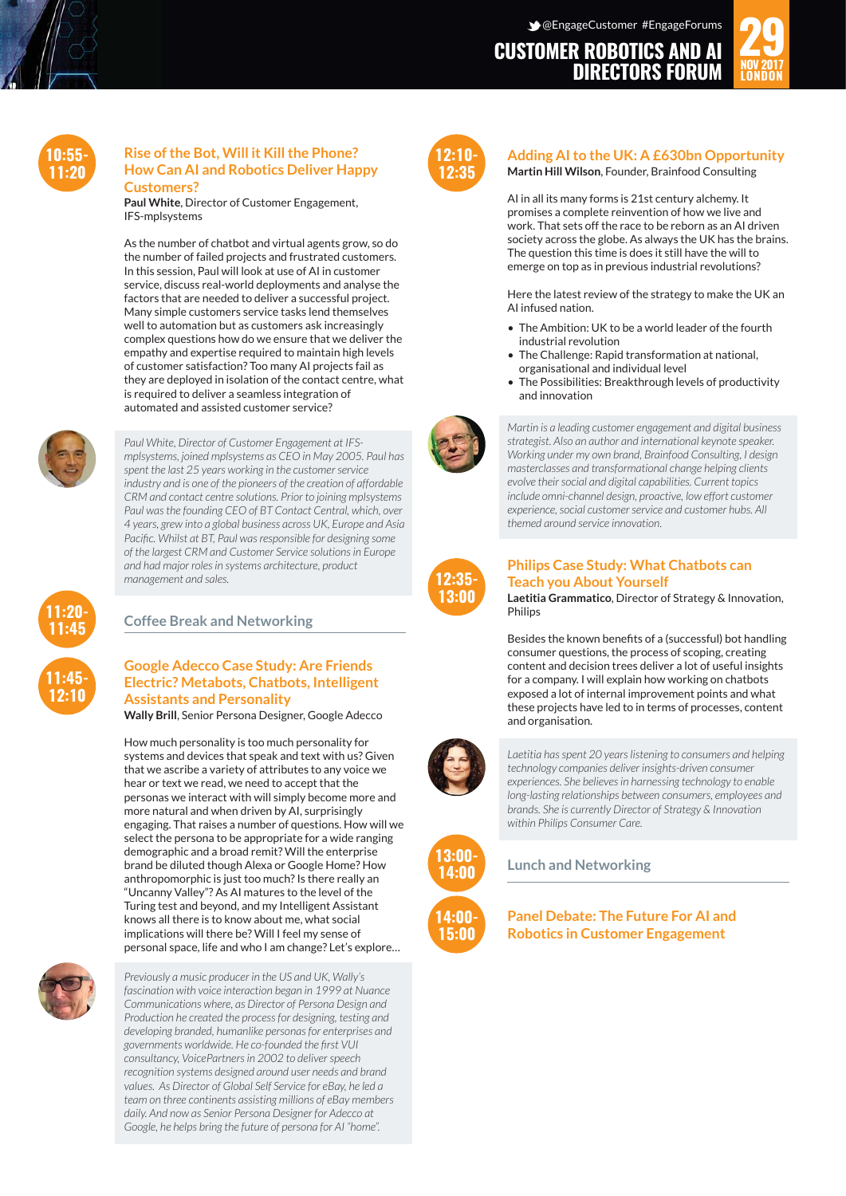## **CUSTOMER ROBOTICS AND AI DIRECTORS FORUM**





#### **Rise of the Bot, Will it Kill the Phone? How Can AI and Robotics Deliver Happy Customers?**

**Paul White**, Director of Customer Engagement, IFS-mplsystems

As the number of chatbot and virtual agents grow, so do the number of failed projects and frustrated customers. In this session, Paul will look at use of AI in customer service, discuss real-world deployments and analyse the factors that are needed to deliver a successful project. Many simple customers service tasks lend themselves well to automation but as customers ask increasingly complex questions how do we ensure that we deliver the empathy and expertise required to maintain high levels of customer satisfaction? Too many AI projects fail as they are deployed in isolation of the contact centre, what is required to deliver a seamless integration of automated and assisted customer service?



**11:20- 11:45**

**11:45- 12:10**

*Paul White, Director of Customer Engagement at IFSmplsystems, joined mplsystems as CEO in May 2005. Paul has spent the last 25 years working in the customer service industry and is one of the pioneers of the creation of affordable CRM and contact centre solutions. Prior to joining mplsystems Paul was the founding CEO of BT Contact Central, which, over 4 years, grew into a global business across UK, Europe and Asia Pacific. Whilst at BT, Paul was responsible for designing some of the largest CRM and Customer Service solutions in Europe and had major roles in systems architecture, product management and sales.*

## **Coffee Break and Networking**

#### **Google Adecco Case Study: Are Friends Electric? Metabots, Chatbots, Intelligent Assistants and Personality**

**Wally Brill**, Senior Persona Designer, Google Adecco

How much personality is too much personality for systems and devices that speak and text with us? Given that we ascribe a variety of attributes to any voice we hear or text we read, we need to accept that the personas we interact with will simply become more and more natural and when driven by AI, surprisingly engaging. That raises a number of questions. How will we select the persona to be appropriate for a wide ranging demographic and a broad remit? Will the enterprise brand be diluted though Alexa or Google Home? How anthropomorphic is just too much? Is there really an "Uncanny Valley"? As AI matures to the level of the Turing test and beyond, and my Intelligent Assistant knows all there is to know about me, what social implications will there be? Will I feel my sense of personal space, life and who I am change? Let's explore…



*Previously a music producer in the US and UK, Wally's fascination with voice interaction began in 1999 at Nuance Communications where, as Director of Persona Design and Production he created the process for designing, testing and developing branded, humanlike personas for enterprises and governments worldwide. He co-founded the first VUI consultancy, VoicePartners in 2002 to deliver speech recognition systems designed around user needs and brand values. As Director of Global Self Service for eBay, he led a team on three continents assisting millions of eBay members daily. And now as Senior Persona Designer for Adecco at Google, he helps bring the future of persona for AI "home".*



#### **Adding AI to the UK: A £630bn Opportunity Martin Hill Wilson**, Founder, Brainfood Consulting

AI in all its many forms is 21st century alchemy. It promises a complete reinvention of how we live and work. That sets off the race to be reborn as an AI driven society across the globe. As always the UK has the brains. The question this time is does it still have the will to emerge on top as in previous industrial revolutions?

Here the latest review of the strategy to make the UK an AI infused nation.

- The Ambition: UK to be a world leader of the fourth industrial revolution
- The Challenge: Rapid transformation at national, organisational and individual level
- The Possibilities: Breakthrough levels of productivity and innovation



*Martin is a leading customer engagement and digital business strategist. Also an author and international keynote speaker. Working under my own brand, Brainfood Consulting, I design masterclasses and transformational change helping clients evolve their social and digital capabilities. Current topics include omni-channel design, proactive, low effort customer experience, social customer service and customer hubs. All themed around service innovation.*



#### **Philips Case Study: What Chatbots can Teach you About Yourself**

**Laetitia Grammatico**, Director of Strategy & Innovation, Philips

Besides the known benefits of a (successful) bot handling consumer questions, the process of scoping, creating content and decision trees deliver a lot of useful insights for a company. I will explain how working on chatbots exposed a lot of internal improvement points and what these projects have led to in terms of processes, content and organisation.



*Laetitia has spent 20 years listening to consumers and helping technology companies deliver insights-driven consumer experiences. She believes in harnessing technology to enable long-lasting relationships between consumers, employees and brands. She is currently Director of Strategy & Innovation within Philips Consumer Care.*



**Lunch and Networking**

**Panel Debate: The Future For AI and Robotics in Customer Engagement**